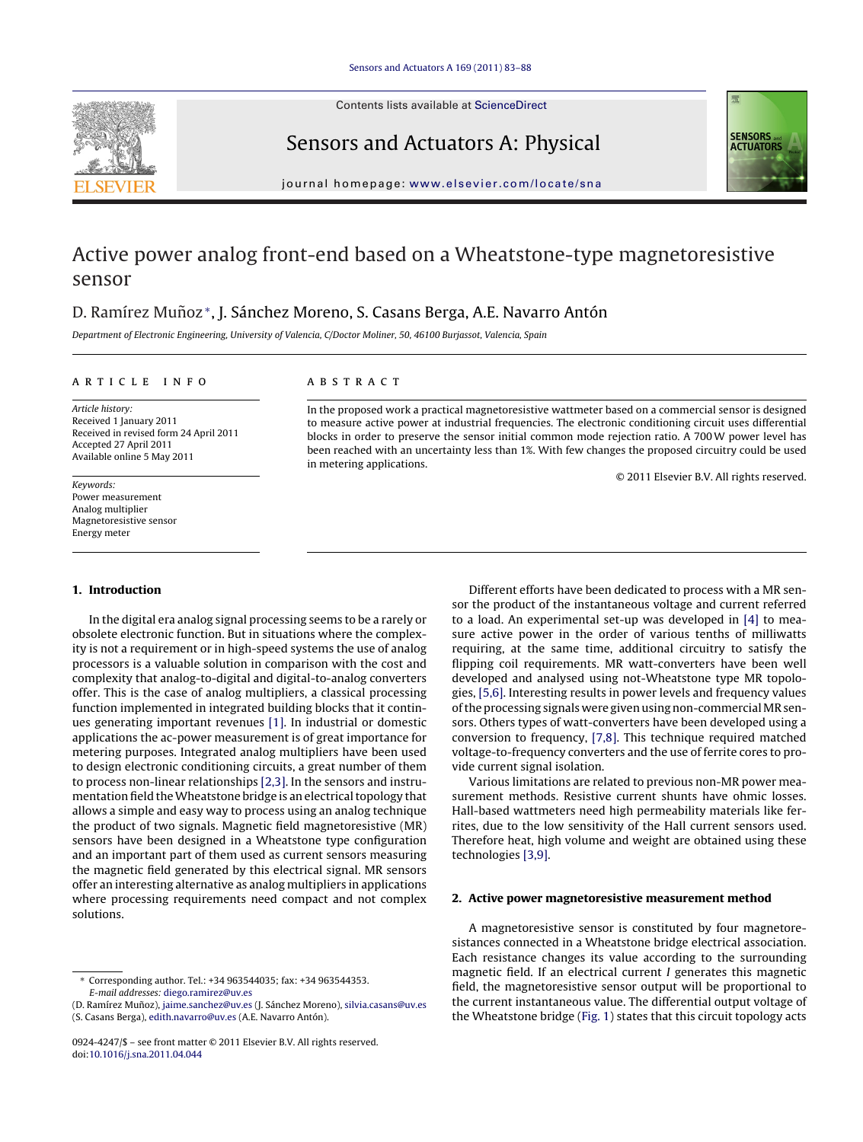

Contents lists available at [ScienceDirect](http://www.sciencedirect.com/science/journal/09244247)

Sensors and Actuators A: Physical

iournal homepage: [www.elsevier.com/locate/sna](http://www.elsevier.com/locate/sna)

# Active power analog front-end based on a Wheatstone-type magnetoresistive sensor

# D. Ramírez Muñoz\*, J. Sánchez Moreno, S. Casans Berga, A.E. Navarro Antón

Department of Electronic Engineering, University of Valencia, C/Doctor Moliner, 50, 46100 Burjassot, Valencia, Spain

#### ARTICLE INFO

Article history: Received 1 January 2011 Received in revised form 24 April 2011 Accepted 27 April 2011 Available online 5 May 2011

Keywords: Power measurement Analog multiplier Magnetoresistive sensor Energy meter

### **1. Introduction**

In the digital era analog signal processing seems to be a rarely or obsolete electronic function. But in situations where the complexity is not a requirement or in high-speed systems the use of analog processors is a valuable solution in comparison with the cost and complexity that analog-to-digital and digital-to-analog converters offer. This is the case of analog multipliers, a classical processing function implemented in integrated building blocks that it continues generating important revenues [\[1\].](#page--1-0) In industrial or domestic applications the ac-power measurement is of great importance for metering purposes. Integrated analog multipliers have been used to design electronic conditioning circuits, a great number of them to process non-linear relationships [\[2,3\].](#page--1-0) In the sensors and instrumentation field the Wheatstone bridge is an electrical topology that allows a simple and easy way to process using an analog technique the product of two signals. Magnetic field magnetoresistive (MR) sensors have been designed in a Wheatstone type configuration and an important part of them used as current sensors measuring the magnetic field generated by this electrical signal. MR sensors offer an interesting alternative as analog multipliers in applications where processing requirements need compact and not complex solutions.

## A B S T R A C T

In the proposed work a practical magnetoresistive wattmeter based on a commercial sensor is designed to measure active power at industrial frequencies. The electronic conditioning circuit uses differential blocks in order to preserve the sensor initial common mode rejection ratio. A 700W power level has been reached with an uncertainty less than 1%. With few changes the proposed circuitry could be used in metering applications.

© 2011 Elsevier B.V. All rights reserved.

Different efforts have been dedicated to process with a MR sensor the product of the instantaneous voltage and current referred to a load. An experimental set-up was developed in [\[4\]](#page--1-0) to measure active power in the order of various tenths of milliwatts requiring, at the same time, additional circuitry to satisfy the flipping coil requirements. MR watt-converters have been well developed and analysed using not-Wheatstone type MR topologies, [\[5,6\].](#page--1-0) Interesting results in power levels and frequency values of the processing signals were given using non-commercial MR sensors. Others types of watt-converters have been developed using a conversion to frequency, [\[7,8\].](#page--1-0) This technique required matched voltage-to-frequency converters and the use of ferrite cores to provide current signal isolation.

Various limitations are related to previous non-MR power measurement methods. Resistive current shunts have ohmic losses. Hall-based wattmeters need high permeability materials like ferrites, due to the low sensitivity of the Hall current sensors used. Therefore heat, high volume and weight are obtained using these technologies [\[3,9\].](#page--1-0)

#### **2. Active power magnetoresistive measurement method**

A magnetoresistive sensor is constituted by four magnetoresistances connected in a Wheatstone bridge electrical association. Each resistance changes its value according to the surrounding magnetic field. If an electrical current I generates this magnetic field, the magnetoresistive sensor output will be proportional to the current instantaneous value. The differential output voltage of the Wheatstone bridge [\(Fig.](#page-1-0) 1) states that this circuit topology acts

<sup>∗</sup> Corresponding author. Tel.: +34 963544035; fax: +34 963544353. E-mail addresses: [diego.ramirez@uv.es](mailto:diego.ramirez@uv.es)

<sup>(</sup>D. Ramírez Muñoz), [jaime.sanchez@uv.es](mailto:jaime.sanchez@uv.es) (J. Sánchez Moreno), [silvia.casans@uv.es](mailto:silvia.casans@uv.es) (S. Casans Berga), [edith.navarro@uv.es](mailto:edith.navarro@uv.es) (A.E. Navarro Antón).

<sup>0924-4247/\$</sup> – see front matter © 2011 Elsevier B.V. All rights reserved. doi:[10.1016/j.sna.2011.04.044](dx.doi.org/10.1016/j.sna.2011.04.044)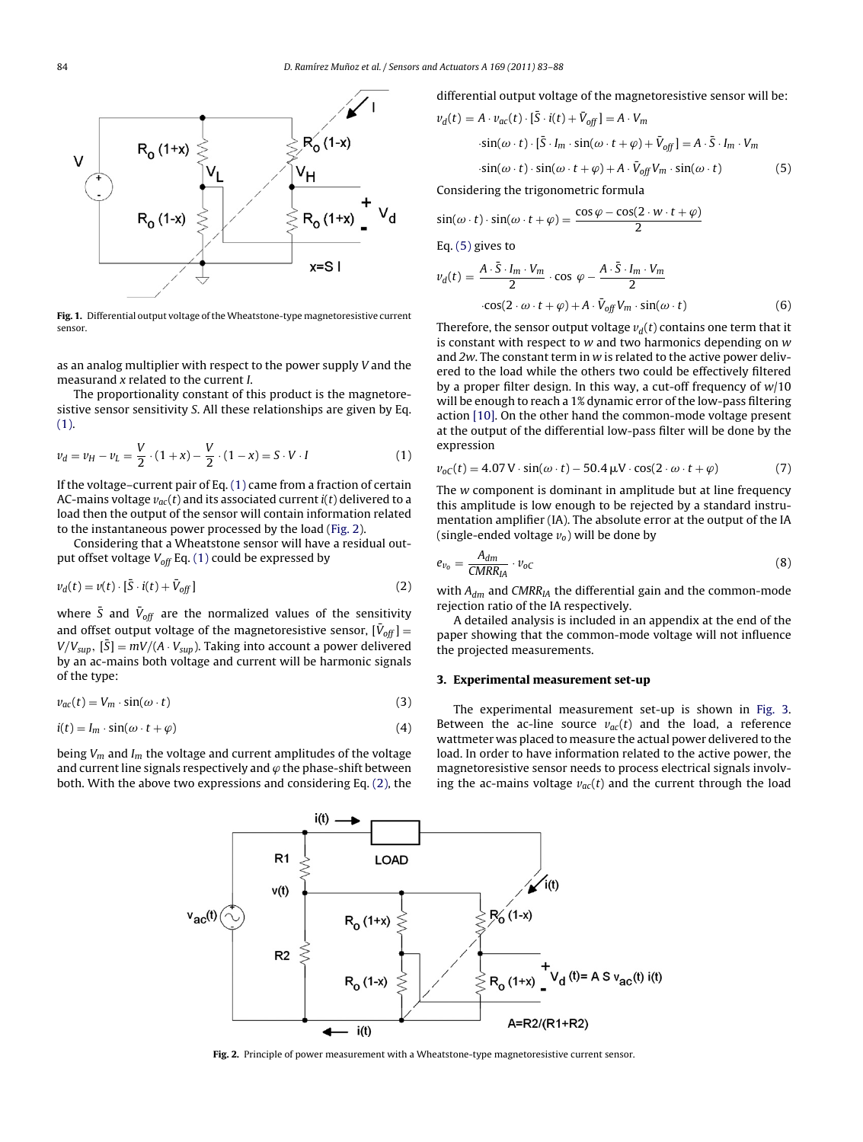<span id="page-1-0"></span>

Fig. 1. Differential output voltage of the Wheatstone-type magnetoresistive current sensor.

as an analog multiplier with respect to the power supply V and the measurand x related to the current I.

The proportionality constant of this product is the magnetoresistive sensor sensitivity S. All these relationships are given by Eq. (1).

$$
\nu_d = \nu_H - \nu_L = \frac{V}{2} \cdot (1 + x) - \frac{V}{2} \cdot (1 - x) = S \cdot V \cdot I \tag{1}
$$

If the voltage–current pair of Eq. (1) came from a fraction of certain AC-mains voltage  $v_{ac}(t)$  and its associated current  $i(t)$  delivered to a load then the output of the sensor will contain information related to the instantaneous power processed by the load (Fig. 2).

Considering that a Wheatstone sensor will have a residual output offset voltage  $V_{off}$  Eq. (1) could be expressed by

$$
v_d(t) = v(t) \cdot [\bar{S} \cdot i(t) + \bar{V}_{off}] \tag{2}
$$

where  $\bar{S}$  and  $\bar{V}_{off}$  are the normalized values of the sensitivity and offset output voltage of the magnetoresistive sensor,  $[\bar{V}_{off}] =$  $V/V_{\text{sup}}$ ,  $[\bar{S}] = mV/(A \cdot V_{\text{sup}})$ . Taking into account a power delivered by an ac-mains both voltage and current will be harmonic signals of the type:

$$
v_{ac}(t) = V_m \cdot \sin(\omega \cdot t) \tag{3}
$$

$$
i(t) = I_m \cdot \sin(\omega \cdot t + \varphi) \tag{4}
$$

being  $V_m$  and  $I_m$  the voltage and current amplitudes of the voltage and current line signals respectively and  $\varphi$  the phase-shift between both. With the above two expressions and considering Eq. (2), the differential output voltage of the magnetoresistive sensor will be:

$$
v_d(t) = A \cdot v_{ac}(t) \cdot [\bar{S} \cdot i(t) + \bar{V}_{off}] = A \cdot V_m
$$
  
\n
$$
\cdot \sin(\omega \cdot t) \cdot [\bar{S} \cdot I_m \cdot \sin(\omega \cdot t + \varphi) + \bar{V}_{off}] = A \cdot \bar{S} \cdot I_m \cdot V_m
$$
  
\n
$$
\cdot \sin(\omega \cdot t) \cdot \sin(\omega \cdot t + \varphi) + A \cdot \bar{V}_{off} V_m \cdot \sin(\omega \cdot t)
$$
 (5)

Considering the trigonometric formula

$$
\sin(\omega \cdot t) \cdot \sin(\omega \cdot t + \varphi) = \frac{\cos \varphi - \cos(2 \cdot w \cdot t + \varphi)}{2}
$$

Eq. (5) gives to

$$
v_d(t) = \frac{A \cdot \bar{S} \cdot I_m \cdot V_m}{2} \cdot \cos \varphi - \frac{A \cdot \bar{S} \cdot I_m \cdot V_m}{2}
$$
  
 
$$
\cos(2 \cdot \omega \cdot t + \varphi) + A \cdot \bar{V}_{off} V_m \cdot \sin(\omega \cdot t)
$$
 (6)

Therefore, the sensor output voltage  $v_d(t)$  contains one term that it is constant with respect to  $w$  and two harmonics depending on  $w$ and 2w. The constant term in w is related to the active power delivered to the load while the others two could be effectively filtered by a proper filter design. In this way, a cut-off frequency of  $w/10$ will be enough to reach a 1% dynamic error of the low-pass filtering action [\[10\].](#page--1-0) On the other hand the common-mode voltage present at the output of the differential low-pass filter will be done by the expression

$$
v_{oC}(t) = 4.07 \,\text{V} \cdot \sin(\omega \cdot t) - 50.4 \,\mu\text{V} \cdot \cos(2 \cdot \omega \cdot t + \varphi) \tag{7}
$$

The w component is dominant in amplitude but at line frequency this amplitude is low enough to be rejected by a standard instrumentation amplifier (IA). The absolute error at the output of the IA (single-ended voltage  $v_0$ ) will be done by

$$
e_{\nu_0} = \frac{A_{dm}}{CMRR_{IA}} \cdot \nu_{oC} \tag{8}
$$

with  $A_{dm}$  and CMRR<sub>IA</sub> the differential gain and the common-mode rejection ratio of the IA respectively.

A detailed analysis is included in an appendix at the end of the paper showing that the common-mode voltage will not influence the projected measurements.

### **3. Experimental measurement set-up**

The experimental measurement set-up is shown in [Fig.](#page--1-0) 3. Between the ac-line source  $v_{ac}(t)$  and the load, a reference wattmeter was placed to measure the actual power delivered to the load. In order to have information related to the active power, the magnetoresistive sensor needs to process electrical signals involving the ac-mains voltage  $v_{ac}(t)$  and the current through the load



**Fig. 2.** Principle of power measurement with a Wheatstone-type magnetoresistive current sensor.